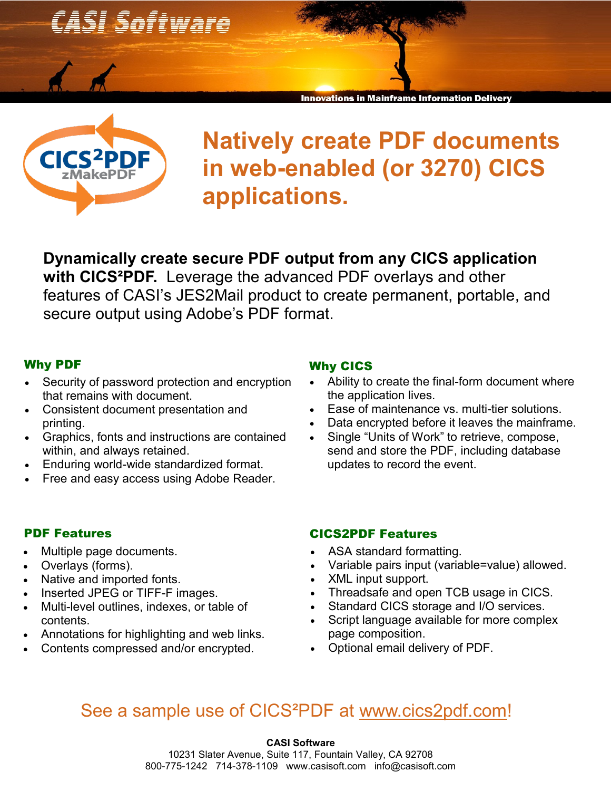

**CICS<sup>2</sup>PDF** zMakeP

## **Natively create PDF documents in web-enabled (or 3270) CICS applications.**

in Mainframe Information

**Dynamically create secure PDF output from any CICS application with CICS²PDF.** Leverage the advanced PDF overlays and other features of CASI's JES2Mail product to create permanent, portable, and secure output using Adobe's PDF format.

#### Why PDF

- Security of password protection and encryption that remains with document.
- Consistent document presentation and printing.
- Graphics, fonts and instructions are contained within, and always retained.
- Enduring world-wide standardized format.
- Free and easy access using Adobe Reader.

## PDF Features

- Multiple page documents.
- Overlays (forms).
- Native and imported fonts.
- Inserted JPEG or TIFF-F images.
- Multi-level outlines, indexes, or table of contents.
- Annotations for highlighting and web links.
- Contents compressed and/or encrypted.

#### Why CICS

- Ability to create the final-form document where the application lives.
- Ease of maintenance vs. multi-tier solutions.
- Data encrypted before it leaves the mainframe.
- Single "Units of Work" to retrieve, compose, send and store the PDF, including database updates to record the event.

#### CICS2PDF Features

- ASA standard formatting.
- Variable pairs input (variable=value) allowed.
- XML input support.
- Threadsafe and open TCB usage in CICS.
- Standard CICS storage and I/O services.
- Script language available for more complex page composition.
- Optional email delivery of PDF.

## See a sample use of CICS²PDF at [www.cics2pdf.com!](http://www.cics2pdf.com)

**CASI Software** 10231 Slater Avenue, Suite 117, Fountain Valley, CA 92708 800-775-1242 714-378-1109 www.casisoft.com info@casisoft.com